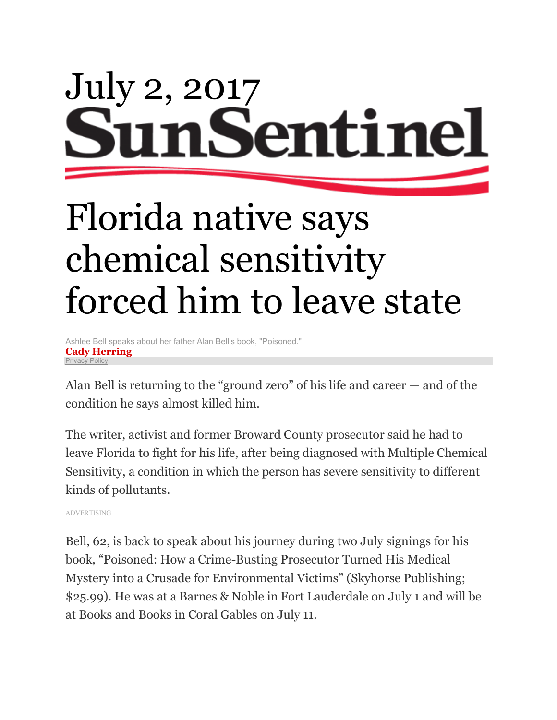## July 2, 2017 en1 ine

# Florida native says chemical sensitivity forced him to leave state

Ashlee Bell speaks about her father Alan Bell's book, "Poisoned." **Cady Herring** [Privacy Policy](http://www.tribpub.com/privacy-policy-and-your-privacy-rights/#_blank)

Alan Bell is returning to the "ground zero" of his life and career — and of the condition he says almost killed him.

The writer, activist and former Broward County prosecutor said he had to leave Florida to fight for his life, after being diagnosed with Multiple Chemical Sensitivity, a condition in which the person has severe sensitivity to different kinds of pollutants.

ADVERTISING

Bell, 62, is back to speak about his journey during two July signings for his book, "Poisoned: How a Crime-Busting Prosecutor Turned His Medical Mystery into a Crusade for Environmental Victims" (Skyhorse Publishing; \$25.99). He was at a Barnes & Noble in Fort Lauderdale on July 1 and will be at Books and Books in Coral Gables on July 11.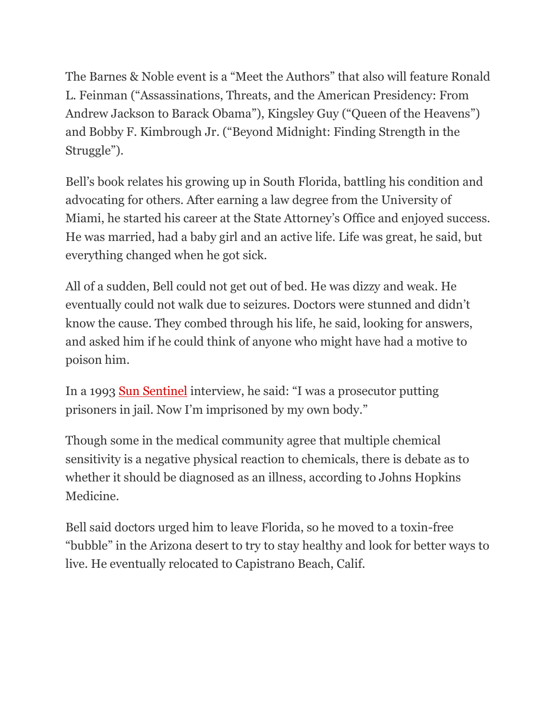The Barnes & Noble event is a "Meet the Authors" that also will feature Ronald L. Feinman ("Assassinations, Threats, and the American Presidency: From Andrew Jackson to Barack Obama"), Kingsley Guy ("Queen of the Heavens") and Bobby F. Kimbrough Jr. ("Beyond Midnight: Finding Strength in the Struggle").

Bell's book relates his growing up in South Florida, battling his condition and advocating for others. After earning a law degree from the University of Miami, he started his career at the State Attorney's Office and enjoyed success. He was married, had a baby girl and an active life. Life was great, he said, but everything changed when he got sick.

All of a sudden, Bell could not get out of bed. He was dizzy and weak. He eventually could not walk due to seizures. Doctors were stunned and didn't know the cause. They combed through his life, he said, looking for answers, and asked him if he could think of anyone who might have had a motive to poison him.

In a 1993 [Sun Sentinel](http://articles.sun-sentinel.com/1993-03-02/business/9301120772_1_multiple-chemical-sensitivity-sun-pharmaceuticals-alan-bell) interview, he said: "I was a prosecutor putting prisoners in jail. Now I'm imprisoned by my own body."

Though some in the medical community agree that multiple chemical sensitivity is a negative physical reaction to chemicals, there is debate as to whether it should be diagnosed as an illness, according to Johns Hopkins Medicine.

Bell said doctors urged him to leave Florida, so he moved to a toxin-free "bubble" in the Arizona desert to try to stay healthy and look for better ways to live. He eventually relocated to Capistrano Beach, Calif.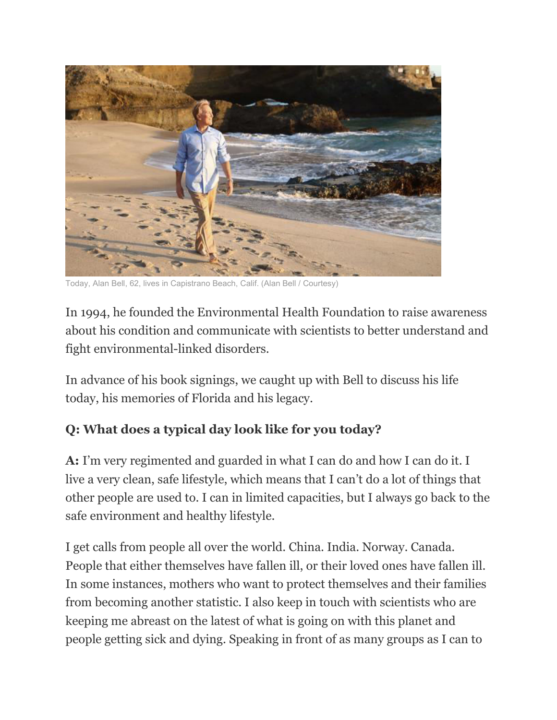

Today, Alan Bell, 62, lives in Capistrano Beach, Calif. (Alan Bell / Courtesy)

In 1994, he founded the Environmental Health Foundation to raise awareness about his condition and communicate with scientists to better understand and fight environmental-linked disorders.

In advance of his book signings, we caught up with Bell to discuss his life today, his memories of Florida and his legacy.

#### **Q: What does a typical day look like for you today?**

**A:** I'm very regimented and guarded in what I can do and how I can do it. I live a very clean, safe lifestyle, which means that I can't do a lot of things that other people are used to. I can in limited capacities, but I always go back to the safe environment and healthy lifestyle.

I get calls from people all over the world. China. India. Norway. Canada. People that either themselves have fallen ill, or their loved ones have fallen ill. In some instances, mothers who want to protect themselves and their families from becoming another statistic. I also keep in touch with scientists who are keeping me abreast on the latest of what is going on with this planet and people getting sick and dying. Speaking in front of as many groups as I can to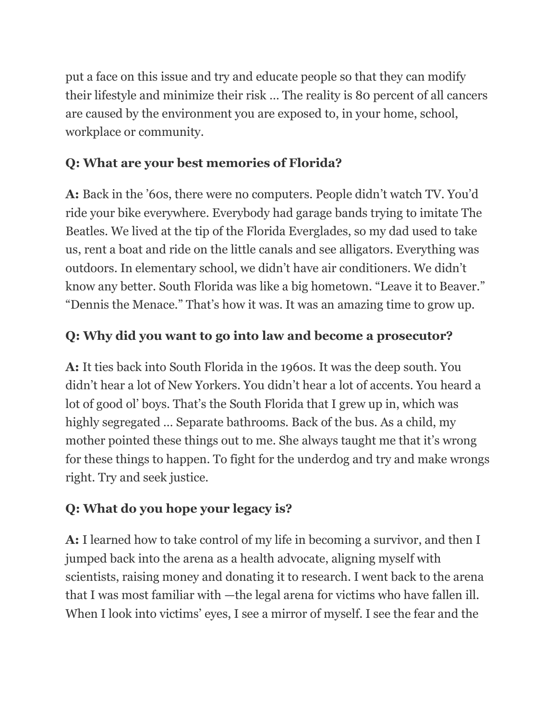put a face on this issue and try and educate people so that they can modify their lifestyle and minimize their risk … The reality is 80 percent of all cancers are caused by the environment you are exposed to, in your home, school, workplace or community.

#### **Q: What are your best memories of Florida?**

**A:** Back in the '60s, there were no computers. People didn't watch TV. You'd ride your bike everywhere. Everybody had garage bands trying to imitate The Beatles. We lived at the tip of the Florida Everglades, so my dad used to take us, rent a boat and ride on the little canals and see alligators. Everything was outdoors. In elementary school, we didn't have air conditioners. We didn't know any better. South Florida was like a big hometown. "Leave it to Beaver." "Dennis the Menace." That's how it was. It was an amazing time to grow up.

#### **Q: Why did you want to go into law and become a prosecutor?**

**A:** It ties back into South Florida in the 1960s. It was the deep south. You didn't hear a lot of New Yorkers. You didn't hear a lot of accents. You heard a lot of good ol' boys. That's the South Florida that I grew up in, which was highly segregated … Separate bathrooms. Back of the bus. As a child, my mother pointed these things out to me. She always taught me that it's wrong for these things to happen. To fight for the underdog and try and make wrongs right. Try and seek justice.

### **Q: What do you hope your legacy is?**

**A:** I learned how to take control of my life in becoming a survivor, and then I jumped back into the arena as a health advocate, aligning myself with scientists, raising money and donating it to research. I went back to the arena that I was most familiar with —the legal arena for victims who have fallen ill. When I look into victims' eyes, I see a mirror of myself. I see the fear and the